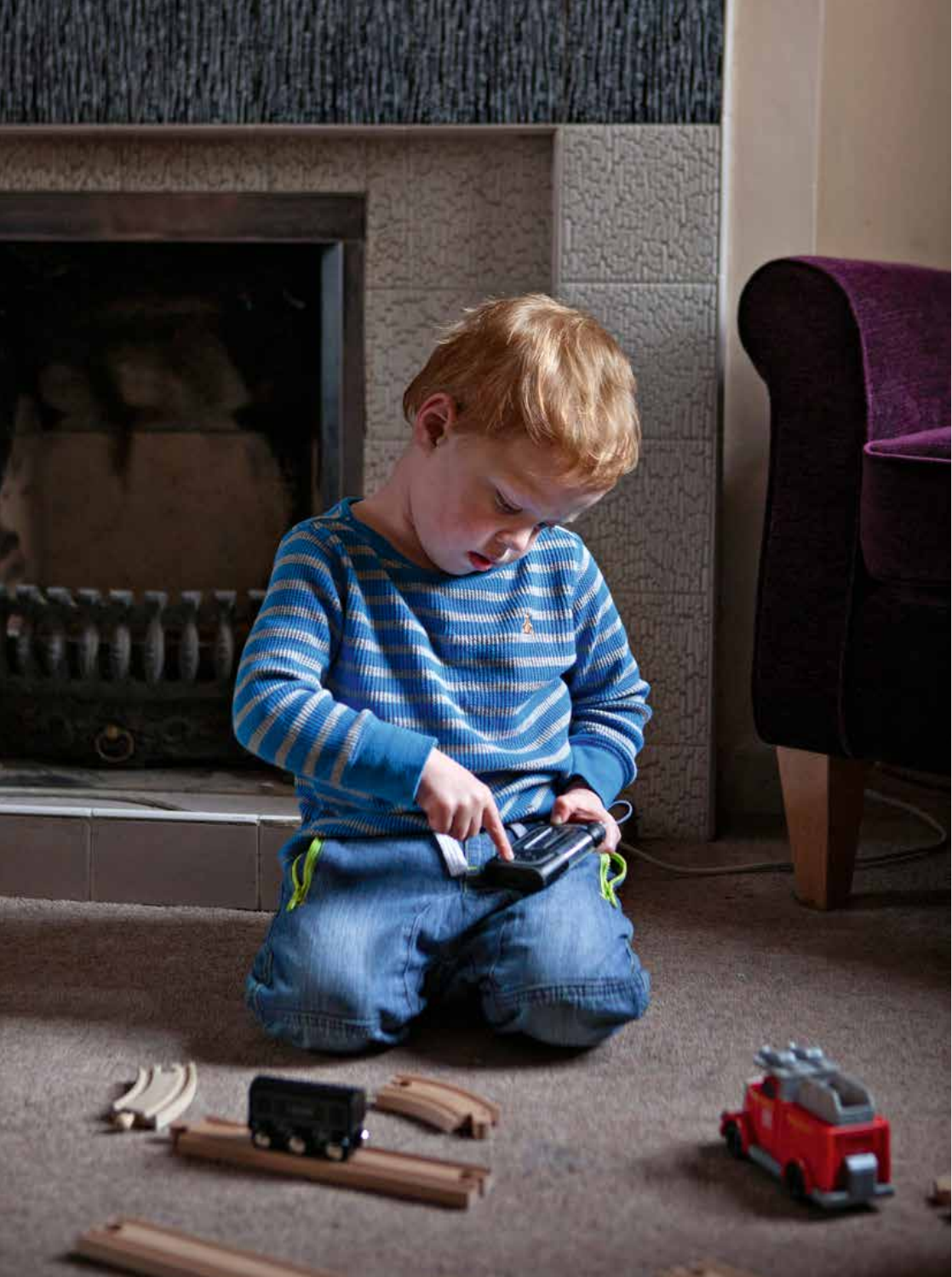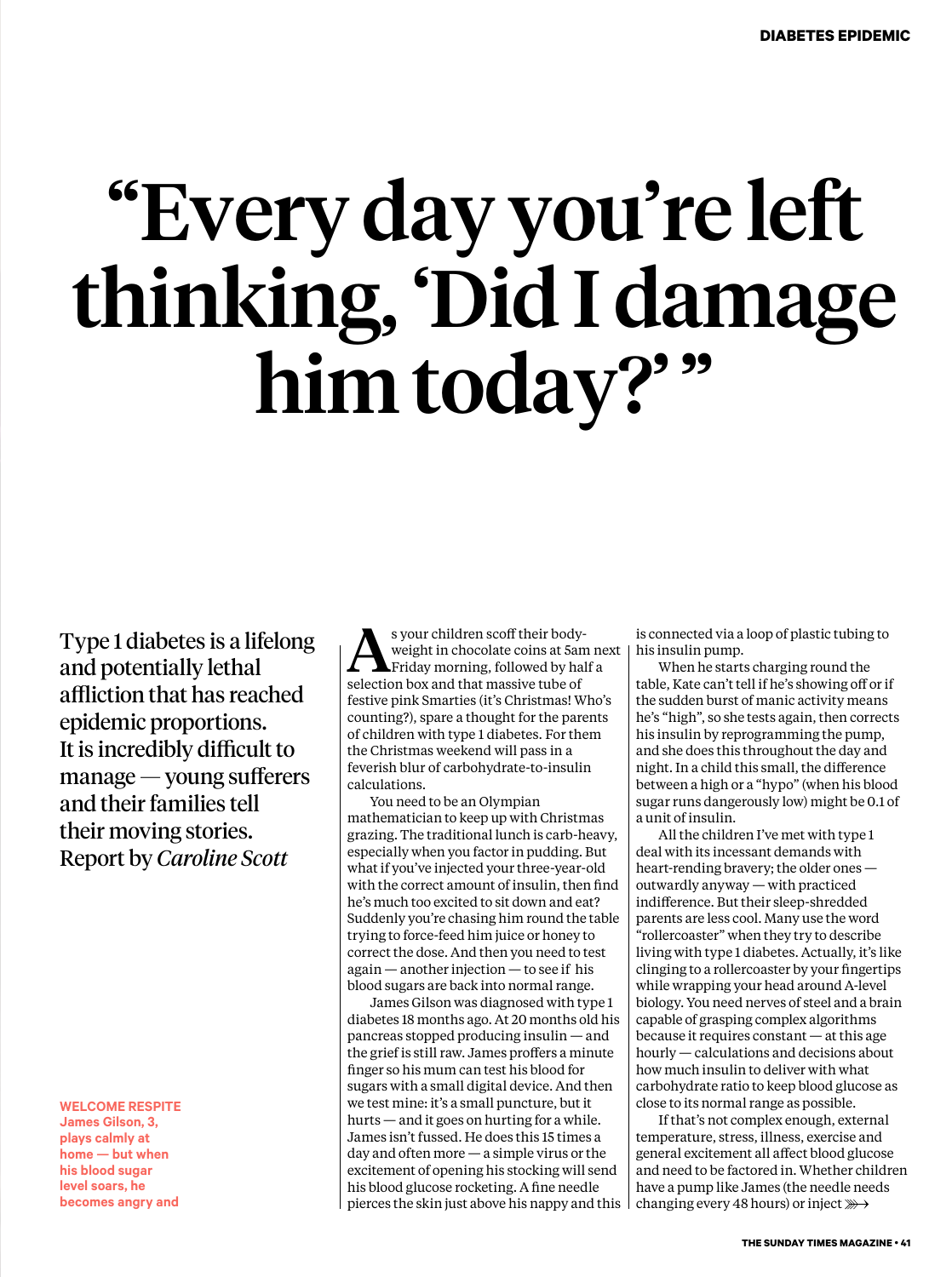## "Every day you're left thinking, 'Did I damage him today?"

Type 1 diabetes is a lifelong and potentially lethal affliction that has reached epidemic proportions. It is incredibly difficult to manage — young sufferers and their families tell their moving stories. Report by *Caroline Scott*

## **welcome respite**

**James Gilson, 3, plays calmly at home — but when his blood sugar level soars, he becomes angry and** 

s your children scoff their body-<br>weight in chocolate coins at 5am ne<br>Friday morning, followed by half a weight in chocolate coins at 5am next selection box and that massive tube of festive pink Smarties (it's Christmas! Who's counting?), spare a thought for the parents of children with type 1 diabetes. For them the Christmas weekend will pass in a feverish blur of carbohydrate-to-insulin calculations.

You need to be an Olympian mathematician to keep up with Christmas grazing. The traditional lunch is carb-heavy, especially when you factor in pudding. But what if you've injected your three-year-old with the correct amount of insulin, then find he's much too excited to sit down and eat? Suddenly you're chasing him round the table trying to force-feed him juice or honey to correct the dose. And then you need to test again — another injection — to see if his blood sugars are back into normal range.

James Gilson was diagnosed with type 1 diabetes 18 months ago. At 20 months old his pancreas stopped producing insulin — and the grief is still raw. James proffers a minute finger so his mum can test his blood for sugars with a small digital device. And then we test mine: it's a small puncture, but it hurts — and it goes on hurting for a while. James isn't fussed. He does this 15 times a day and often more — a simple virus or the excitement of opening his stocking will send his blood glucose rocketing. A fine needle pierces the skin just above his nappy and this

is connected via a loop of plastic tubing to his insulin pump.

When he starts charging round the table, Kate can't tell if he's showing off or if the sudden burst of manic activity means he's "high", so she tests again, then corrects his insulin by reprogramming the pump, and she does this throughout the day and night. In a child this small, the difference between a high or a "hypo" (when his blood sugar runs dangerously low) might be 0.1 of a unit of insulin.

All the children I've met with type 1 deal with its incessant demands with heart-rending bravery; the older ones outwardly anyway — with practiced indifference. But their sleep-shredded parents are less cool. Many use the word "rollercoaster" when they try to describe living with type 1 diabetes. Actually, it's like clinging to a rollercoaster by your fingertips while wrapping your head around A-level biology. You need nerves of steel and a brain capable of grasping complex algorithms because it requires constant — at this age hourly — calculations and decisions about how much insulin to deliver with what carbohydrate ratio to keep blood glucose as close to its normal range as possible.

If that's not complex enough, external temperature, stress, illness, exercise and general excitement all affect blood glucose and need to be factored in. Whether children have a pump like James (the needle needs changing every 48 hours) or inject  $\mathbb{R}$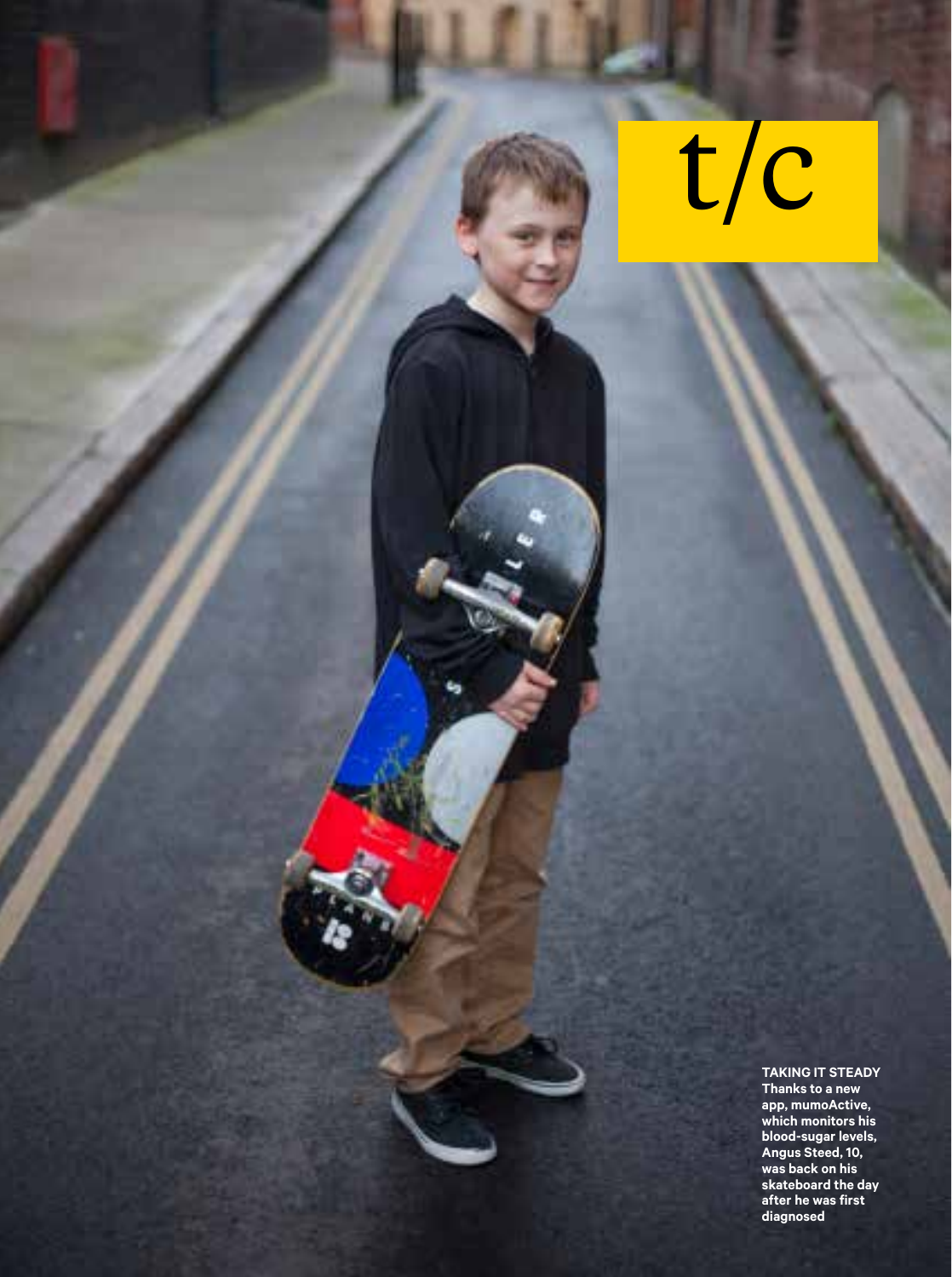# t/c

**takin g it steady Thanks to a new app, mumo Active, which monitors his blood-sugar levels, Angus Steed, 10, was back on his skateboard the day after he was first diagnosed**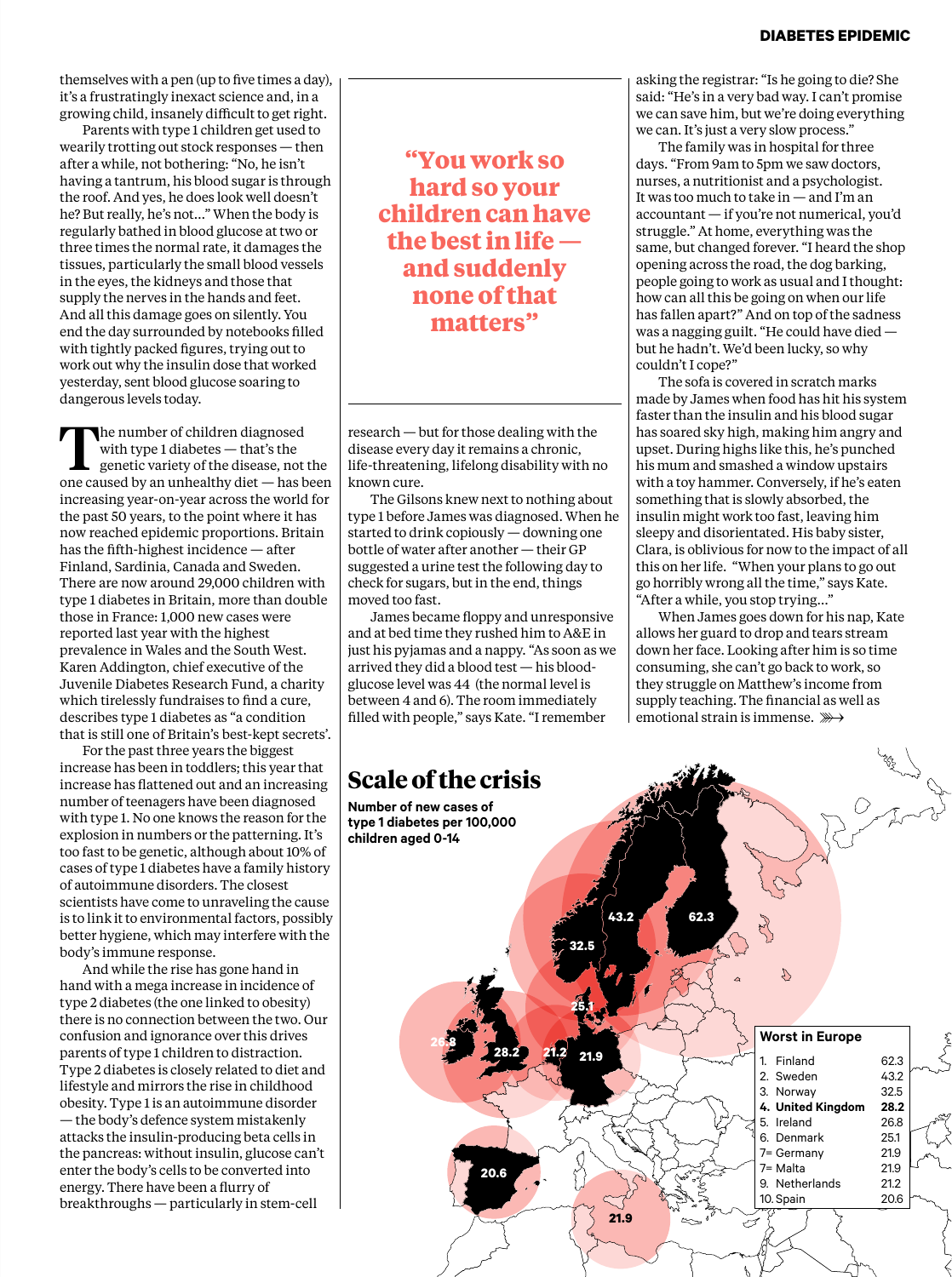themselves with a pen (up to five times a day), it's a frustratingly inexact science and, in a growing child, insanely difficult to get right.

Parents with type 1 children get used to wearily trotting out stock responses — then after a while, not bothering: "No, he isn't having a tantrum, his blood sugar is through the roof. And yes, he does look well doesn't he? But really, he's not…" When the body is regularly bathed in blood glucose at two or three times the normal rate, it damages the tissues, particularly the small blood vessels in the eyes, the kidneys and those that supply the nerves in the hands and feet. And all this damage goes on silently. You end the day surrounded by notebooks filled with tightly packed figures, trying out to work out why the insulin dose that worked yesterday, sent blood glucose soaring to dangerous levels today.

The number of children diagnosed<br>
with type 1 diabetes — that's the<br>
genetic variety of the disease, not the<br>
one counced by an unboattly dist with type 1 diabetes — that's the one caused by an unhealthy diet — has been increasing year-on-year across the world for the past 50 years, to the point where it has now reached epidemic proportions. Britain has the fifth-highest incidence — after Finland, Sardinia, Canada and Sweden. There are now around 29,000 children with type 1 diabetes in Britain, more than double those in France: 1,000 new cases were reported last year with the highest prevalence in Wales and the South West. Karen Addington, chief executive of the Juvenile Diabetes Research Fund, a charity which tirelessly fundraises to find a cure, describes type 1 diabetes as "a condition that is still one of Britain's best-kept secrets'.

For the past three years the biggest increase has been in toddlers; this year that increase has flattened out and an increasing number of teenagers have been diagnosed with type 1. No one knows the reason for the explosion in numbers or the patterning. It's too fast to be genetic, although about 10% of cases of type 1 diabetes have a family history of autoimmune disorders. The closest scientists have come to unraveling the cause is to link it to environmental factors, possibly better hygiene, which may interfere with the body's immune response.

And while the rise has gone hand in hand with a mega increase in incidence of type 2 diabetes (the one linked to obesity) there is no connection between the two. Our confusion and ignorance over this drives parents of type 1 children to distraction. Type 2 diabetes is closely related to diet and lifestyle and mirrors the rise in childhood obesity. Type 1 is an autoimmune disorder — the body's defence system mistakenly attacks the insulin-producing beta cells in the pancreas: without insulin, glucose can't enter the body's cells to be converted into energy. There have been a flurry of breakthroughs — particularly in stem-cell

**"You work so hard so your children can have the best in life and suddenly none of that matters"**

research — but for those dealing with the disease every day it remains a chronic, life-threatening, lifelong disability with no known cure.

The Gilsons knew next to nothing about type 1 before James was diagnosed. When he started to drink copiously — downing one bottle of water after another — their GP suggested a urine test the following day to check for sugars, but in the end, things moved too fast.

James became floppy and unresponsive and at bed time they rushed him to A&E in just his pyjamas and a nappy. "As soon as we arrived they did a blood test — his bloodglucose level was 44 (the normal level is between 4 and 6). The room immediately filled with people," says Kate. "I remember

asking the registrar: "Is he going to die? She said: "He's in a very bad way. I can't promise we can save him, but we're doing everything we can. It's just a very slow process."

The family was in hospital for three days. "From 9am to 5pm we saw doctors, nurses, a nutritionist and a psychologist. It was too much to take in — and I'm an accountant — if you're not numerical, you'd struggle." At home, everything was the same, but changed forever. "I heard the shop opening across the road, the dog barking, people going to work as usual and I thought: how can all this be going on when our life has fallen apart?" And on top of the sadness was a nagging guilt. "He could have died but he hadn't. We'd been lucky, so why couldn't I cope?"

The sofa is covered in scratch marks made by James when food has hit his system faster than the insulin and his blood sugar has soared sky high, making him angry and upset. During highs like this, he's punched his mum and smashed a window upstairs with a toy hammer. Conversely, if he's eaten something that is slowly absorbed, the insulin might work too fast, leaving him sleepy and disorientated. His baby sister, Clara, is oblivious for now to the impact of all this on her life. "When your plans to go out go horribly wrong all the time," says Kate. "After a while, you stop trying…"

When James goes down for his nap, Kate allows her guard to drop and tears stream down her face. Looking after him is so time consuming, she can't go back to work, so they struggle on Matthew's income from supply teaching. The financial as well as emotional strain is immense. <sup>>>>></sup>

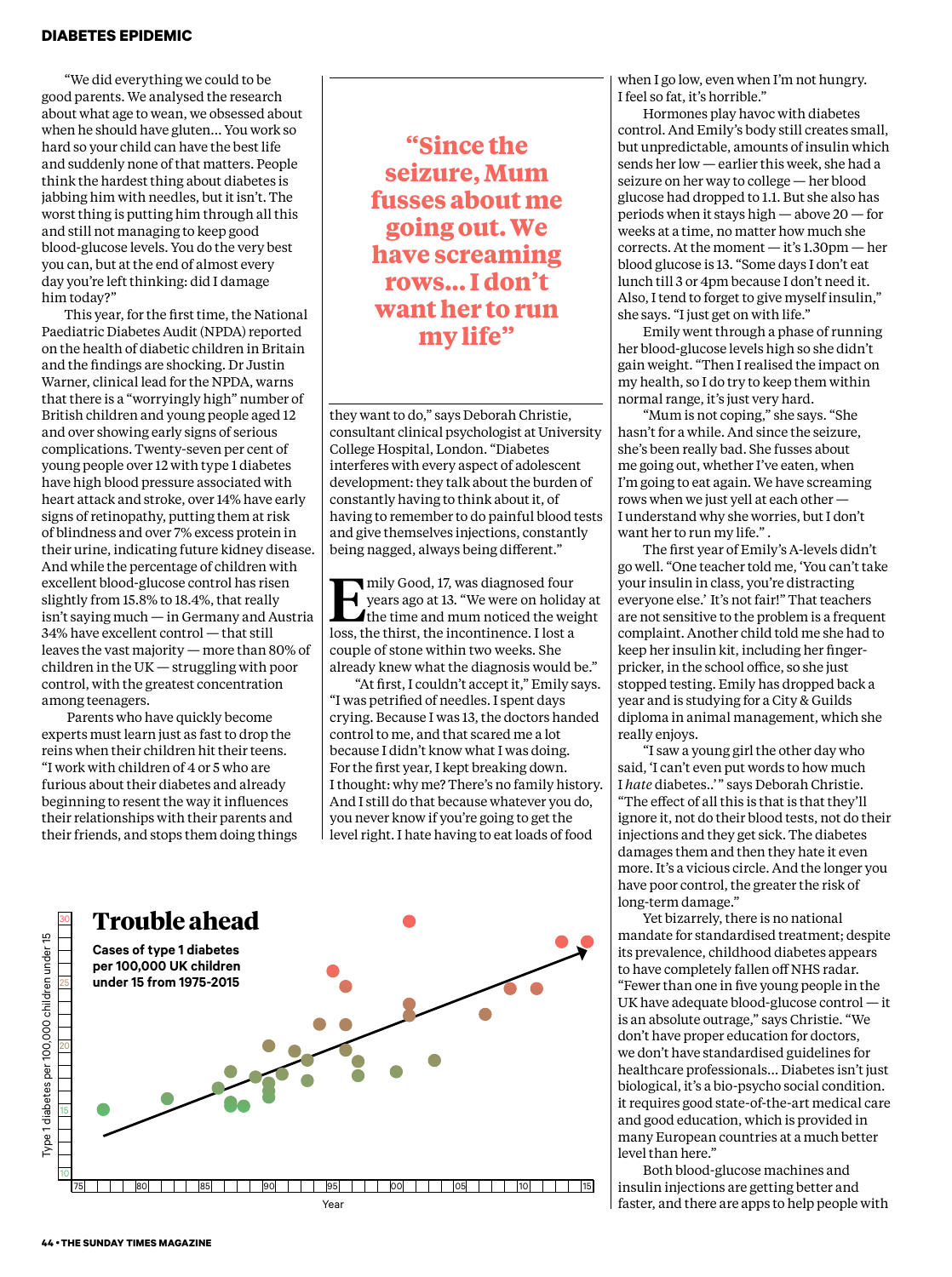## **diabetes epidemic**

"We did everything we could to be good parents. We analysed the research about what age to wean, we obsessed about when he should have gluten… You work so hard so your child can have the best life and suddenly none of that matters. People think the hardest thing about diabetes is jabbing him with needles, but it isn't. The worst thing is putting him through all this and still not managing to keep good blood-glucose levels. You do the very best you can, but at the end of almost every day you're left thinking: did I damage him today?"

This year, for the first time, the National Paediatric Diabetes Audit (NPDA) reported on the health of diabetic children in Britain and the findings are shocking. Dr Justin Warner, clinical lead for the NPDA, warns that there is a "worryingly high" number of British children and young people aged 12 and over showing early signs of serious complications. Twenty-seven per cent of young people over 12 with type 1 diabetes have high blood pressure associated with heart attack and stroke, over 14% have early signs of retinopathy, putting them at risk of blindness and over 7% excess protein in their urine, indicating future kidney disease. And while the percentage of children with excellent blood-glucose control has risen slightly from 15.8% to 18.4%, that really isn't saying much — in Germany and Austria 34% have excellent control — that still leaves the vast majority — more than 80% of children in the UK — struggling with poor control, with the greatest concentration among teenagers.

 Parents who have quickly become experts must learn just as fast to drop the reins when their children hit their teens. "I work with children of 4 or 5 who are furious about their diabetes and already beginning to resent the way it influences their relationships with their parents and their friends, and stops them doing things

**"Since the seizure, Mum fusses about me going out. We have screaming rows... I don't want her to run my life"**

they want to do," says Deborah Christie, consultant clinical psychologist at University College Hospital, London. "Diabetes interferes with every aspect of adolescent development: they talk about the burden of constantly having to think about it, of having to remember to do painful blood tests and give themselves injections, constantly being nagged, always being different."

mily Good, 17, was diagnosed four<br>tyears ago at 13. "We were on holidation with time and mum noticed the weill<br>lose that hirst the inequality less to years ago at 13. "We were on holiday at  $\blacktriangle$  the time and mum noticed the weight loss, the thirst, the incontinence. I lost a couple of stone within two weeks. She already knew what the diagnosis would be."

 "At first, I couldn't accept it," Emily says. "I was petrified of needles. I spent days crying. Because I was 13, the doctors handed control to me, and that scared me a lot because I didn't know what I was doing. For the first year, I kept breaking down. I thought: why me? There's no family history. And I still do that because whatever you do, you never know if you're going to get the level right. I hate having to eat loads of food



when I go low, even when I'm not hungry. I feel so fat, it's horrible."

 Hormones play havoc with diabetes control. And Emily's body still creates small, but unpredictable, amounts of insulin which sends her low — earlier this week, she had a seizure on her way to college — her blood glucose had dropped to 1.1. But she also has periods when it stays high — above 20 — for weeks at a time, no matter how much she corrects. At the moment — it's 1.30pm — her blood glucose is 13. "Some days I don't eat lunch till 3 or 4pm because I don't need it. Also, I tend to forget to give myself insulin," she says. "I just get on with life."

 Emily went through a phase of running her blood-glucose levels high so she didn't gain weight. "Then I realised the impact on my health, so I do try to keep them within normal range, it's just very hard.

 "Mum is not coping," she says. "She hasn't for a while. And since the seizure, she's been really bad. She fusses about me going out, whether I've eaten, when I'm going to eat again. We have screaming rows when we just yell at each other — I understand why she worries, but I don't want her to run my life." .

 The first year of Emily's A-levels didn't go well. "One teacher told me, 'You can't take your insulin in class, you're distracting everyone else.' It's not fair!" That teachers are not sensitive to the problem is a frequent complaint. Another child told me she had to keep her insulin kit, including her fingerpricker, in the school office, so she just stopped testing. Emily has dropped back a year and is studying for a City & Guilds diploma in animal management, which she really enjoys.

 "I saw a young girl the other day who said, 'I can't even put words to how much I *hate* diabetes..'" says Deborah Christie. "The effect of all this is that is that they'll ignore it, not do their blood tests, not do their injections and they get sick. The diabetes damages them and then they hate it even more. It's a vicious circle. And the longer you have poor control, the greater the risk of long-term damage."

 Yet bizarrely, there is no national mandate for standardised treatment; despite its prevalence, childhood diabetes appears to have completely fallen off NHS radar. "Fewer than one in five young people in the UK have adequate blood-glucose control — it is an absolute outrage," says Christie. "We don't have proper education for doctors, we don't have standardised guidelines for healthcare professionals… Diabetes isn't just biological, it's a bio-psycho social condition. it requires good state-of-the-art medical care and good education, which is provided in many European countries at a much better level than here."

 Both blood-glucose machines and insulin injections are getting better and faster, and there are apps to help people with